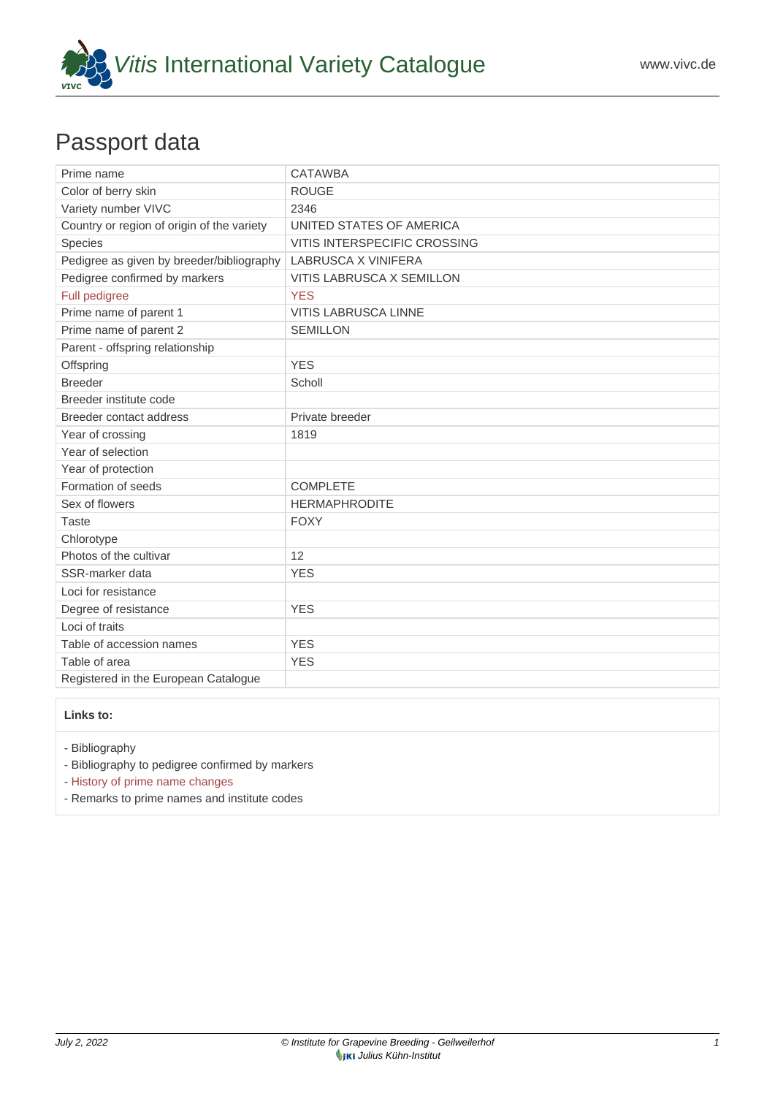

## Passport data

| Prime name                                 | <b>CATAWBA</b>               |
|--------------------------------------------|------------------------------|
| Color of berry skin                        | <b>ROUGE</b>                 |
| Variety number VIVC                        | 2346                         |
| Country or region of origin of the variety | UNITED STATES OF AMERICA     |
| Species                                    | VITIS INTERSPECIFIC CROSSING |
| Pedigree as given by breeder/bibliography  | LABRUSCA X VINIFERA          |
| Pedigree confirmed by markers              | VITIS LABRUSCA X SEMILLON    |
| Full pedigree                              | <b>YES</b>                   |
| Prime name of parent 1                     | <b>VITIS LABRUSCA LINNE</b>  |
| Prime name of parent 2                     | <b>SEMILLON</b>              |
| Parent - offspring relationship            |                              |
| Offspring                                  | <b>YES</b>                   |
| <b>Breeder</b>                             | Scholl                       |
| Breeder institute code                     |                              |
| Breeder contact address                    | Private breeder              |
| Year of crossing                           | 1819                         |
| Year of selection                          |                              |
| Year of protection                         |                              |
| Formation of seeds                         | <b>COMPLETE</b>              |
| Sex of flowers                             | <b>HERMAPHRODITE</b>         |
| <b>Taste</b>                               | <b>FOXY</b>                  |
| Chlorotype                                 |                              |
| Photos of the cultivar                     | 12                           |
| SSR-marker data                            | <b>YES</b>                   |
| Loci for resistance                        |                              |
| Degree of resistance                       | <b>YES</b>                   |
| Loci of traits                             |                              |
| Table of accession names                   | <b>YES</b>                   |
| Table of area                              | <b>YES</b>                   |
| Registered in the European Catalogue       |                              |

## **Links to:**

- [Bibliography](https://www.vivc.de/index.php?r=literaturverweise%2Fbibliography&LiteraturverweiseSearch[kenn_nr2]=2346&LiteraturverweiseSearch[leitname2]=CATAWBA)

- [Bibliography to pedigree confirmed by markers](https://www.vivc.de/index.php?var=2346&r=eva-analysis-mikrosatelliten-abstammungen%2Findex)

- [History of prime name changes](https://www.vivc.de/index.php?HistorieSearch[kenn_nr_neu2]=2346&r=historie%2Findex1&sort=leitname_neu)

- [Remarks to prime names and institute codes](#page--1-0)